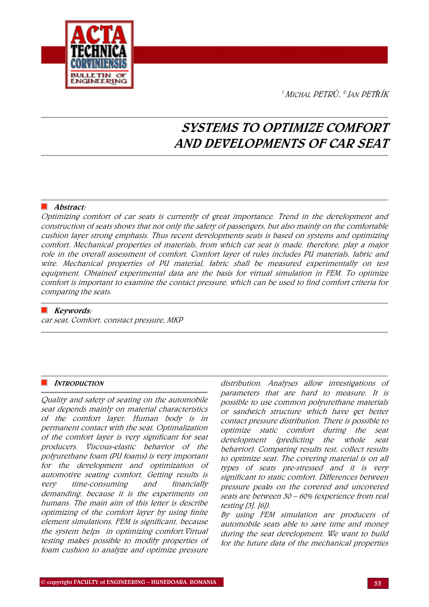

1.MICHAL PETR*Ů*, 2.JAN PET*Ř*ÍK

# SYSTEMS TO OPTIMIZE COMFORT AND DEVELOPMENTS OF CAR SEAT

## $\blacksquare$  Abstract:

Optimizing comfort of car seats is currently of great importance. Trend in the development and construction of seats shows that not only the safety of passengers, but also mainly on the comfortable cushion layer strong emphasis. Thus recent developments seats is based on systems and optimizing comfort. Mechanical properties of materials, from which car seat is made, therefore, play a major role in the overall assessment of comfort. Comfort layer of rules includes PU materials, fabric and wire. Mechanical properties of PU material, fabric shall be measured experimentally on test equipment. Obtained experimental data are the basis for virtual simulation in FEM. To optimize comfort is important to examine the contact pressure, which can be used to find comfort criteria for comparing the seats.

#### $\blacksquare$  Keywords:

car seat, Comfort, constact pressure, MKP

## **INTRODUCTION**

Quality and safety of seating on the automobile seat depends mainly on material characteristics of the comfort layer. Human body is in permanent contact with the seat. Optimalization of the comfort layer is very significant for seat producers. Viscous-elastic behavior of the polyurethane foam (PU foams) is very important for the development and optimization of automotive seating comfort. Getting results is very time-consuming and financially demanding, because it is the experiments on humans. The main aim of this letter is describe optimizing of the comfort layer by using finite element simulations. FEM is significant, because the system helps in optimizing comfort.Virtual testing makes possible to modify properties of foam cushion to analyze and optimize pressure

distribution. Analyses allow investigations of parameters that are hard to measure. It is possible to use common polyurethane materials or sandwich structure which have get better contact pressure distribution. There is possible to optimize static comfort during the seat development (predicting the whole seat behavior). Comparing results test, collect results to optimize seat. The covering material is on all types of seats pre-stressed and it is very significant to static comfort. Differences between pressure peaks on the covered and uncovered seats are between 30 – 60% (experience from real testing [3], [6]).

By using FEM simulation are producers of automobile seats able to save time and money during the seat development. We want to build for the future data of the mechanical properties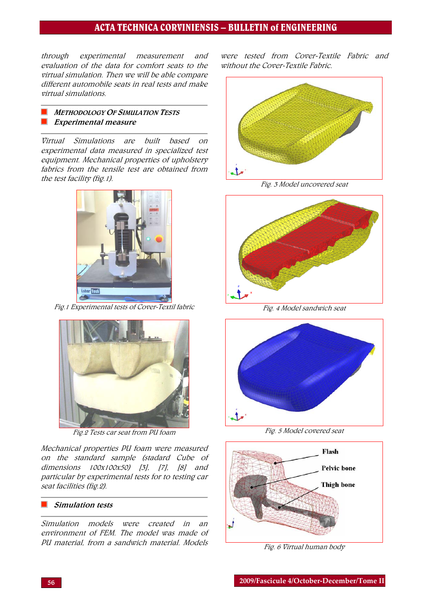# ACTA TECHNICA CORVINIENSIS – BULLETIN of ENGINEERING

through experimental measurement and evaluation of the data for comfort seats to the virtual simulation. Then we will be able compare different automobile seats in real tests and make virtual simulations.

# **METHODOLOGY OF SIMULATION TESTS** Experimental measure

Virtual Simulations are built based on experimental data measured in specialized test equipment. Mechanical properties of upholstery fabrics from the tensile test are obtained from the test facility (fig.1).



Fig.1 Experimental tests of Cover-Textil fabric



Fig.2 Tests car seat from PU foam

Mechanical properties PU foam were measured on the standard sample (stadard Cube of dimensions 100x100x50) [3], [7], [8] and particular by experimental tests for to testing car seat facilities (fig.2).

# Simulation tests

Simulation models were created in an environment of FEM. The model was made of PU material, from a sandwich material. Models

were tested from Cover-Textile Fabric and without the Cover-Textile Fabric.



Fig. 3 Model uncovered seat



Fig. 4 Model sandwich seat



Fig. 5 Model covered seat



Fig. 6 Virtual human body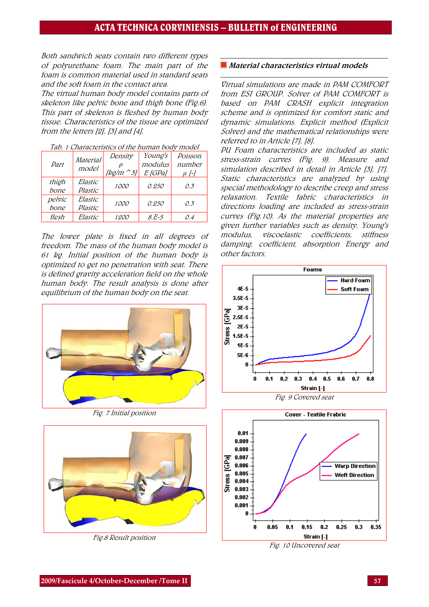Both sandwich seats contain two different types of polyurethane foam. The main part of the foam is common material used in standard seats and the soft foam in the contact area.

The virtual human body model contains parts of skeleton like pelvic bone and thigh bone (Fig.6). This part of skeleton is fleshed by human body tissue. Characteristics of the tissue are optimized from the letters [2], [3] and [4].

| <i>rav. I Characteristics of the human body model</i> |                          |                   |           |           |
|-------------------------------------------------------|--------------------------|-------------------|-----------|-----------|
| Part                                                  | <b>Material</b><br>model | Density           | Young's   | Poisson   |
|                                                       |                          |                   | modulus   | number    |
|                                                       |                          | [kg/m $\hat{3}$ ] | $E$ [GPa] | $\mu$ [-] |
| thigh                                                 | Elastic                  | 1000              | 0.250     | 0.3       |
| bone                                                  | Plastic                  |                   |           |           |
| pelvic                                                | Elastic                  |                   | 0.250     | 0.3       |
| bone                                                  | Plastic                  | 1000              |           |           |
| flesh                                                 | Elastic                  | 1200              | $8.E-5$   | 0.4       |

Tab. 1 Characteristics of the human body model

The lower plate is fixed in all degrees of freedom. The mass of the human body model is 61 kg. Initial position of the human body is optimized to get no penetration with seat. There is defined gravity acceleration field on the whole human body. The result analysis is done after equilibrium of the human body on the seat.



Fig. 7 Initial position



Fig.8 Result position

## ■ Material characteristics virtual models

Virtual simulations are made in PAM COMFORT from ESI GROUP. Solver of PAM COMFORT is based on PAM CRASH explicit integration scheme and is optimized for comfort static and dynamic simulations. Explicit method (Explicit Solver) and the mathematical relationships were referred to in Article [7], [8].

PU Foam characteristics are included as static stress-strain curves (Fig. 9). Measure and simulation described in detail in Article [3], [7]. Static characteristics are analyzed by using special methodology to describe creep and stress relaxation. Textile fabric characteristics in directions loading are included as stress-strain curves (Fig.10). As the material properties are given further variables such as density, Young's modulus, viscoelastic coefficients, stiffness damping, coefficient, absorption Energy and other factors.





Fig. 10 Uncovered seat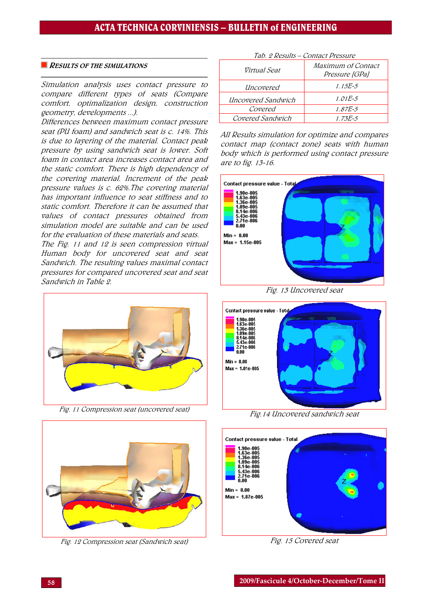#### **RESULTS OF THE SIMULATIONS**

Simulation analysis uses contact pressure to compare different types of seats (Compare comfort, optimalization design, construction geometry, developments ...).

Differences between maximum contact pressure seat (PU foam) and sandwich seat is c. 14%. This is due to layering of the material. Contact peak pressure by using sandwich seat is lower. Soft foam in contact area increases contact area and the static comfort. There is high dependency of the covering material. Increment of the peak pressure values is c. 62%.The covering material has important influence to seat stiffness and to static comfort. Therefore it can be assumed that values of contact pressures obtained from simulation model are suitable and can be used for the evaluation of these materials and seats.

The Fig. 11 and 12 is seen compression virtual Human body for uncovered seat and seat Sandwich. The resulting values maximal contact pressures for compared uncovered seat and seat Sandwich in Table 2.



Fig. 11 Compression seat (uncovered seat)



Fig. 12 Compression seat (Sandwich seat)

| Virtual Seat       | Maximum of Contact<br>Pressure [GPa] |
|--------------------|--------------------------------------|
| Uncovered          | $1.15E-5$                            |
| Uncovered Sandwich | $1.01E - 5$                          |
| Covered            | $1.87E - 5$                          |
| Covered Sandwich   | $1.73E - 5$                          |

All Results simulation for optimize and compares contact map (contact zone) seats with human body which is performed using contact pressure are to fig. 13-16.



Fig. 13 Uncovered seat



Fig.14 Uncovered sandwich seat



Fig. 15 Covered seat

# Tab. 2 Results – Contact Pressure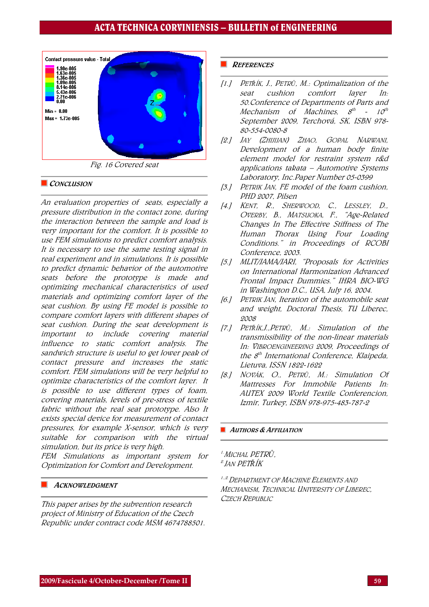

Fig. 16 Covered seat

#### CONCLUSION

An evaluation properties of seats, especially a pressure distribution in the contact zone, during the interaction between the sample and load is very important for the comfort. It is possible to use FEM simulations to predict comfort analysis. It is necessary to use the same testing signal in real experiment and in simulations. It is possible to predict dynamic behavior of the automotive seats before the prototype is made and optimizing mechanical characteristics of used materials and optimizing comfort layer of the seat cushion. By using FE model is possible to compare comfort layers with different shapes of seat cushion. During the seat development is important to include covering material influence to static comfort analysis. The sandwich structure is useful to get lower peak of contact pressure and increases the static comfort. FEM simulations will be very helpful to optimize characteristics of the comfort layer. It is possible to use different types of foam, covering materials, levels of pre-stress of textile fabric without the real seat prototype. Also It exists special device for measurement of contact pressures, for example X-sensor, which is very suitable for comparison with the virtual simulation, but its price is very high.

FEM Simulations as important system for Optimization for Comfort and Development.

#### ACKNOWLEDGMENT

This paper arises by the subvention research project of Ministry of Education of the Czech Republic under contract code MSM 4674788501.

#### **REFERENCES**

- [1.] PET*Ř*ÍK, J., PETR*Ů*, M.: Optimalization of the seat cushion comfort layer In: 50.Conference of Departments of Parts and Mechanism of Machines,  $S^{th}$  $-10^{th}$ September 2009, Terchová, SK, ISBN 978- 80-554-0080-8
- [2.] JAY (ZHIJIJAN) ZHAO, GOPAL NARWANI, Development of a human body finite element model for restraint system r&d applications takata – Automotive Systems Laboratory, Inc.Paper Number 05-0399
- [3.] PETRIK JAN, FE model of the foam cushion, PHD 2007, Pilsen
- [4.] KENT, R., SHERWOOD, C., LESSLEY, D., OVERBY, B., MATSUOKA, F., "Age-Related Changes In The Effective Stiffness of The Human Thorax Using Four Loading Conditions." in Proceedings of RCOBI Conference, 2003.
- [5.] MLIT/JAMA/JARI, "Proposals for Activities on International Harmonization Advanced Frontal Impact Dummies." IHRA BIO-WG in Washington D.C., USA, July 16, 2004.
- [6.] PETRIK JAN, Iteration of the automobile seat and weight, Doctoral Thesis, TU Liberec, 2008
- [7.] PET*Ř*ÍK,J.,PETR*Ů*, M.: Simulation of the transmissibility of the non-linear materials In: VIBROENGINEERING 2009, Proceedings of the  $8<sup>th</sup>$  International Conference, Klaipeda, Lietuva, ISSN 1822-1622
- [8.] NOVÁK, O., PETR*Ů*, M.: Simulation Of Mattresses For Immobile Patients In: AUTEX 2009 World Textile Conferencion, Izmir, Turkey, ISBN 978-975-483-787-2

#### **AUTHORS & AFFILIATION**

1.MICHAL PETR*Ů*, 2.JAN PET*Ř*ÍK

<sup>1.,2.</sup> DEPARTMENT OF MACHINE ELEMENTS AND MECHANISM, TECHNICAL UNIVERSITY OF LIBEREC, CZECH REPUBLIC